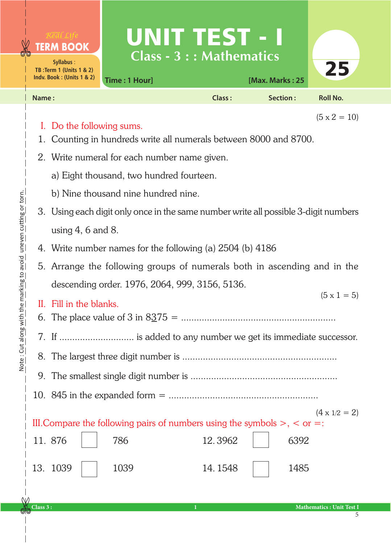| <b>TERM BOOK</b><br>Syllabus:<br><b>TB: Term 1 (Units 1 &amp; 2)</b><br>Indv. Book: (Units 1 & 2) | Time: 1 Hour] | UNITETSTEI<br>Class - $3::$ Mathematics | [Max. Marks: 25 | 25                  |
|---------------------------------------------------------------------------------------------------|---------------|-----------------------------------------|-----------------|---------------------|
| Name:                                                                                             |               | Class:                                  | Section:        | <b>Roll No.</b>     |
| I. Do the following sums.                                                                         |               |                                         |                 | $(5 \times 2 = 10)$ |

1. Counting in hundreds write all numerals between 8000 and 8700.

- 2. Write numeral for each number name given.
	- a) Eight thousand, two hundred fourteen.
	- b) Nine thousand nine hundred nine.
- 3. Using each digit only once in the same number write all possible 3-digit numbers using 4, 6 and 8.
- 4. Write number names for the following (a) 2504 (b) 4186
- 5. Arrange the following groups of numerals both in ascending and in the descending order. 1976, 2064, 999, 3156, 5136.

|                         | $(5 \times 1 = 5)$ |
|-------------------------|--------------------|
| II. Fill in the blanks. |                    |
|                         |                    |

- 7. If ............................. is added to any number we get its immediate successor.
- 8. The largest three digit number is ............................................................
- 9. The smallest single digit number is .........................................................
- 10. 845 in the expanded form = ..........................................................

III. Compare the following pairs of numbers using the symbols  $>$ ,  $\lt$  or  $=$ :  $(4 \times 1/2 = 2)$ 

| 11. 876   786 | 12.3962 6392 |  |
|---------------|--------------|--|
| 13. 1039 1039 | 14.1548 1485 |  |

**Class 3 : 1 Mathematics : Unit Test I**